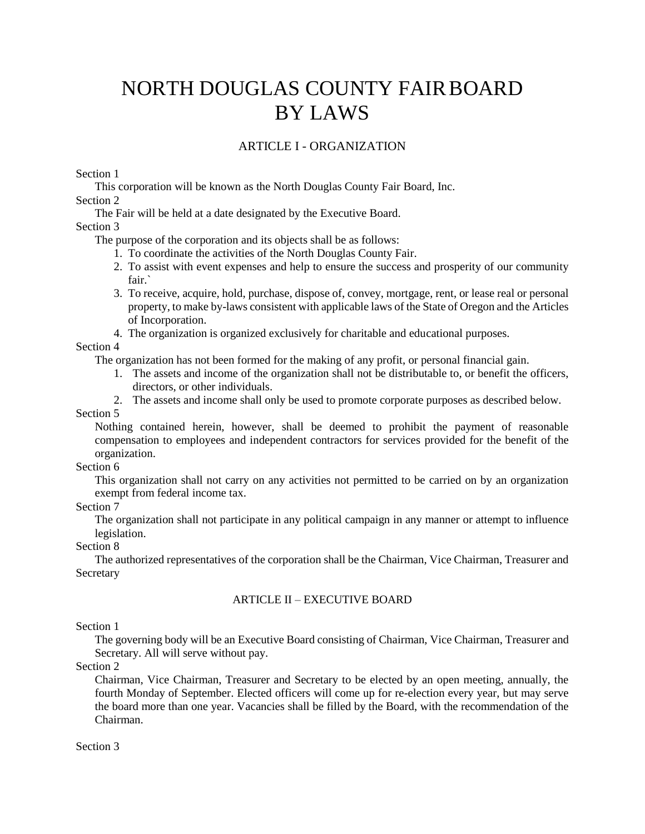# NORTH DOUGLAS COUNTY FAIRBOARD BY LAWS

# ARTICLE I - ORGANIZATION

Section 1

This corporation will be known as the North Douglas County Fair Board, Inc. Section 2

The Fair will be held at a date designated by the Executive Board.

#### Section 3

The purpose of the corporation and its objects shall be as follows:

- 1. To coordinate the activities of the North Douglas County Fair.
- 2. To assist with event expenses and help to ensure the success and prosperity of our community fair.`
- 3. To receive, acquire, hold, purchase, dispose of, convey, mortgage, rent, or lease real or personal property, to make by-laws consistent with applicable laws of the State of Oregon and the Articles of Incorporation.
- 4. The organization is organized exclusively for charitable and educational purposes.

# Section 4

The organization has not been formed for the making of any profit, or personal financial gain.

- 1. The assets and income of the organization shall not be distributable to, or benefit the officers, directors, or other individuals.
- 2. The assets and income shall only be used to promote corporate purposes as described below.

#### Section 5

Nothing contained herein, however, shall be deemed to prohibit the payment of reasonable compensation to employees and independent contractors for services provided for the benefit of the organization.

#### Section 6

This organization shall not carry on any activities not permitted to be carried on by an organization exempt from federal income tax.

#### Section 7

The organization shall not participate in any political campaign in any manner or attempt to influence legislation.

## Section 8

The authorized representatives of the corporation shall be the Chairman, Vice Chairman, Treasurer and Secretary

# ARTICLE II – EXECUTIVE BOARD

# Section 1

The governing body will be an Executive Board consisting of Chairman, Vice Chairman, Treasurer and Secretary. All will serve without pay.

Section 2

Chairman, Vice Chairman, Treasurer and Secretary to be elected by an open meeting, annually, the fourth Monday of September. Elected officers will come up for re-election every year, but may serve the board more than one year. [Vacancies s](http://suite101.com/article/creating-a-nonprofit-board-a13094)hall be filled by the Board, with the recommendation of the Chairman.

## Section 3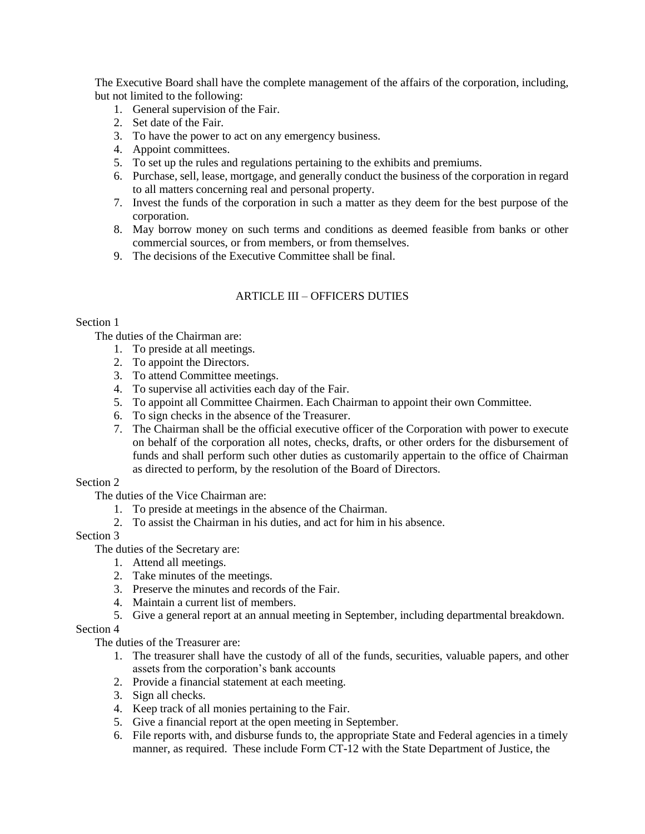The Executive Board shall have the complete management of the affairs of the corporation, including, but not limited to the following:

- 1. General supervision of the Fair.
- 2. Set date of the Fair.
- 3. To have the power to act on any emergency business.
- 4. Appoint committees.
- 5. To set up the rules and regulations pertaining to the exhibits and premiums.
- 6. Purchase, sell, lease, mortgage, and generally conduct the business of the corporation in regard to all matters concerning real and personal property.
- 7. Invest the funds of the corporation in such a matter as they deem for the best purpose of the corporation.
- 8. May borrow money on such terms and conditions as deemed feasible from banks or other commercial sources, or from members, or from themselves.
- 9. The decisions of the Executive Committee shall be final.

## ARTICLE III – OFFICERS DUTIES

#### Section 1

The duties of the Chairman are:

- 1. To preside at all meetings.
- 2. To appoint the Directors.
- 3. To attend Committee meetings.
- 4. To supervise all activities each day of the Fair.
- 5. To appoint all Committee Chairmen. Each Chairman to appoint their own Committee.
- 6. To sign checks in the absence of the Treasurer.
- 7. The Chairman shall be the official executive officer of the Corporation with power to execute on behalf of the corporation all notes, checks, drafts, or other orders for the disbursement of funds and shall perform such other duties as customarily appertain to the office of Chairman as directed to perform, by the resolution of the Board of Directors.

## Section 2

The duties of the Vice Chairman are:

- 1. To preside at meetings in the absence of the Chairman.
- 2. To assist the Chairman in his duties, and act for him in his absence.

# Section 3

The duties of the Secretary are:

- 1. Attend all meetings.
- 2. Take minutes of the meetings.
- 3. Preserve the minutes and records of the Fair.
- 4. Maintain a current list of members.
- 5. Give a general report at an annual meeting in September, including departmental breakdown.

## Section 4

The duties of the Treasurer are:

- 1. The treasurer shall have the custody of all of the funds, securities, valuable papers, and other assets from the corporation's bank accounts
- 2. Provide a financial statement at each meeting.
- 3. Sign all checks.
- 4. Keep track of all monies pertaining to the Fair.
- 5. Give a financial report at the open meeting in September.
- 6. File reports with, and disburse funds to, the appropriate State and Federal agencies in a timely manner, as required. These include Form CT-12 with the State Department of Justice, the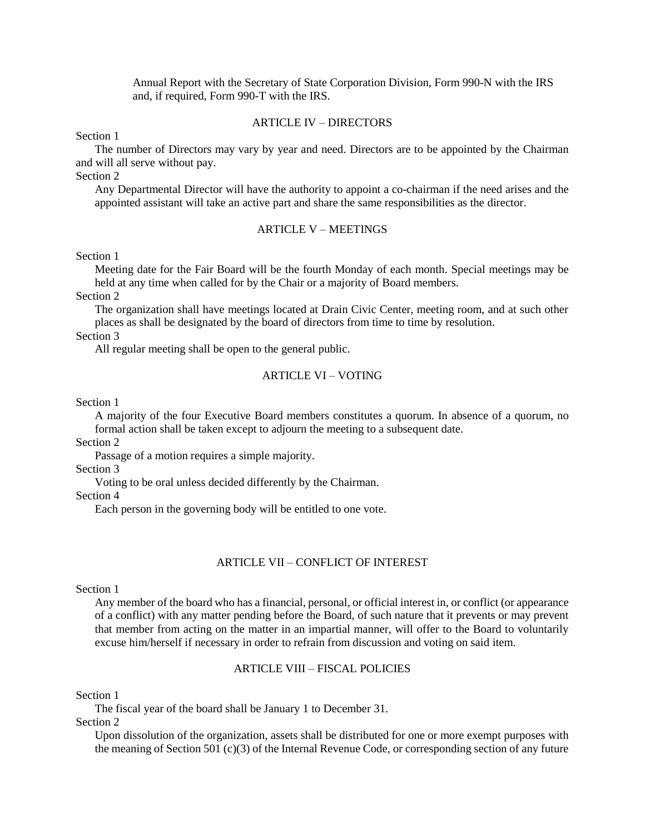Annual Report with the Secretary of State Corporation Division, Form 990-N with the IRS and, if required, Form 990-T with the IRS.

## ARTICLE IV – DIRECTORS

Section 1

The number of Directors may vary by year and need. Directors are to be appointed by the Chairman and will all serve without pay.

Section 2

Any Departmental Director will have the authority to appoint a co-chairman if the need arises and the appointed assistant will take an active part and share the same responsibilities as the director.

#### ARTICLE V – MEETINGS

#### Section 1

Meeting date for the Fair Board will be the fourth Monday of each month. Special meetings may be held at any time when called for by the Chair or a majority of Board members.

Section 2

The organization shall have meetings located at Drain Civic Center, meeting room, and at such other places as shall be designated by the board of directors from time to time by resolution.

Section 3

All regular meeting shall be open to the general public.

#### ARTICLE VI – VOTING

Section 1

A majority of the four Executive Board members constitutes a quorum. In absence of a quorum, no formal action shall be taken except to adjourn the meeting to a subsequent date.

Section 2

Passage of a motion requires a simple majority.

Section 3

Voting to be oral unless decided differently by the Chairman.

Section 4

Each person in the governing body will be entitled to one vote.

#### ARTICLE VII – CONFLICT OF INTEREST

#### Section 1

Any member of the board who has a financial, personal, or official interest in, or conflict (or appearance of a conflict) with any matter pending before the Board, of such nature that it prevents or may prevent that member from acting on the matter in an impartial manner, will offer to the Board to voluntarily excuse him/herself if necessary in order to refrain from discussion and voting on said item.

## ARTICLE VIII – FISCAL POLICIES

Section 1

The fiscal year of the board shall be January 1 to December 31.

Section 2

Upon dissolution of the organization, assets shall be distributed for one or more exempt purposes with the meaning of Section 501 (c)(3) of the Internal Revenue Code, or corresponding section of any future